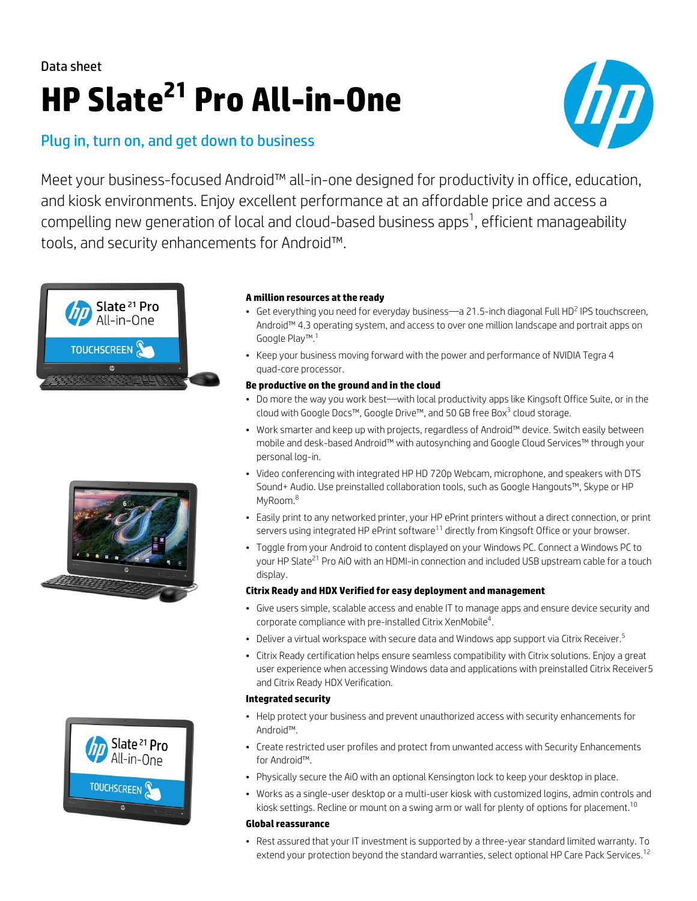# Data sheet **HP Slate<sup>21</sup> Pro All-in-One**

### Plug in, turn on, and get down to business



Meet your business-focused Android™ all-in-one designed for productivity in office, education, and kiosk environments. Enjoy excellent performance at an affordable price and access a compelling new generation of local and cloud-based business apps $^1$ , efficient manageability tools, and security enhancements for Android™.







#### **A million resources at the ready**

- Get everything you need for everyday business-a 21.5-inch diagonal Full HD<sup>2</sup> IPS touchscreen, Android™ 4.3 operating system, and access to over one million landscape and portrait apps on Google Play™.<sup>1</sup>
- Keep your business moving forward with the power and performance of NVIDIA Tegra 4 quad-core processor.

#### **Be productive on the ground and in the cloud**

- Do more the way you work best—with local productivity apps like Kingsoft Office Suite, or in the cloud with Google Docs™, Google Drive™, and 50 GB free Box<sup>3</sup> cloud storage.
- Work smarter and keep up with projects, regardless of Android™ device. Switch easily between mobile and desk-based Android™ with autosynching and Google Cloud Services™ through your personal log-in.
- Video conferencing with integrated HP HD 720p Webcam, microphone, and speakers with DTS Sound+ Audio. Use preinstalled collaboration tools, such as Google Hangouts™, Skype or HP MyRoom.<sup>8</sup>
- Easily print to any networked printer, your HP ePrint printers without a direct connection, or print servers using integrated HP ePrint software<sup>11</sup> directly from Kingsoft Office or your browser.
- Toggle from your Android to content displayed on your Windows PC. Connect a Windows PC to your HP Slate<sup>21</sup> Pro AiO with an HDMI-in connection and included USB upstream cable for a touch display.

### **Citrix Ready and HDX Verified for easy deployment and management**

- Give users simple, scalable access and enable IT to manage apps and ensure device security and corporate compliance with pre-installed Citrix XenMobile<sup>4</sup>.
- Deliver a virtual workspace with secure data and Windows app support via Citrix Receiver.<sup>5</sup>
- Citrix Ready certification helps ensure seamless compatibility with Citrix solutions. Enjoy a great user experience when accessing Windows data and applications with preinstalled Citrix Receiver5 and Citrix Ready HDX Verification.

### **Integrated security**

- Help protect your business and prevent unauthorized access with security enhancements for Android™.
- Create restricted user profiles and protect from unwanted access with Security Enhancements for Android™.
- Physically secure the AiO with an optional Kensington lock to keep your desktop in place.
- Works as a single-user desktop or a multi-user kiosk with customized logins, admin controls and kiosk settings. Recline or mount on a swing arm or wall for plenty of options for placement.<sup>10</sup>

### **Global reassurance**

• Rest assured that your IT investment is supported by a three-year standard limited warranty. To extend your protection beyond the standard warranties, select optional HP Care Pack Services.<sup>12</sup>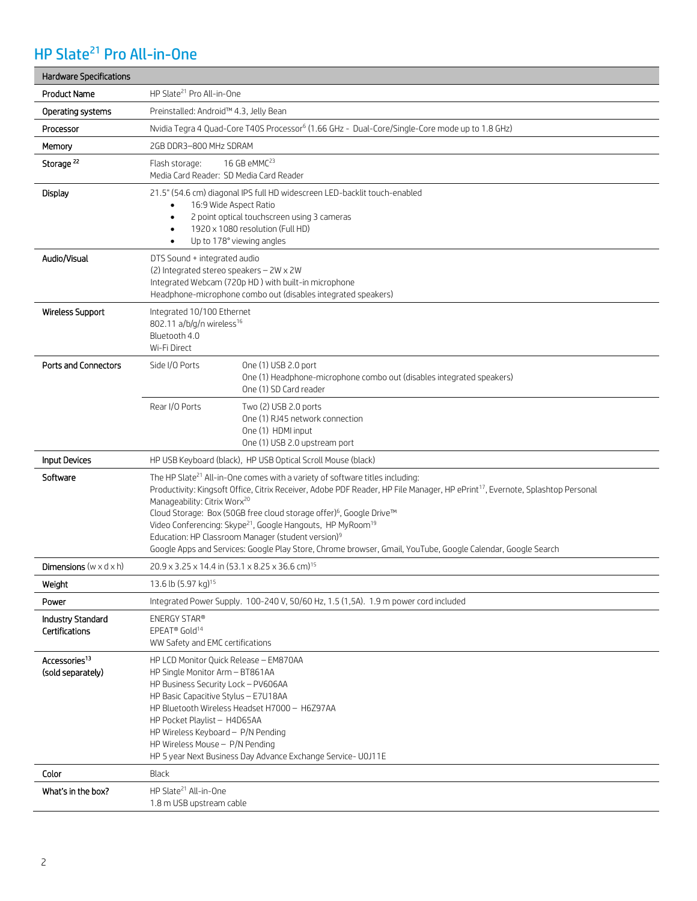## HP Slate<sup>21</sup> Pro All-in-One

| <b>Hardware Specifications</b>                 |                                                                                                                                                                                                                                                                                                                                                                                                                                                                                                                                                                                                                                             |
|------------------------------------------------|---------------------------------------------------------------------------------------------------------------------------------------------------------------------------------------------------------------------------------------------------------------------------------------------------------------------------------------------------------------------------------------------------------------------------------------------------------------------------------------------------------------------------------------------------------------------------------------------------------------------------------------------|
| Product Name                                   | HP Slate <sup>21</sup> Pro All-in-One                                                                                                                                                                                                                                                                                                                                                                                                                                                                                                                                                                                                       |
| Operating systems                              | Preinstalled: Android™ 4.3, Jelly Bean                                                                                                                                                                                                                                                                                                                                                                                                                                                                                                                                                                                                      |
| Processor                                      | Nvidia Tegra 4 Quad-Core T40S Processor <sup>6</sup> (1.66 GHz - Dual-Core/Single-Core mode up to 1.8 GHz)                                                                                                                                                                                                                                                                                                                                                                                                                                                                                                                                  |
| Memory                                         | 2GB DDR3-800 MHz SDRAM                                                                                                                                                                                                                                                                                                                                                                                                                                                                                                                                                                                                                      |
| Storage <sup>22</sup>                          | 16 GB eMMC <sup>23</sup><br>Flash storage:<br>Media Card Reader: SD Media Card Reader                                                                                                                                                                                                                                                                                                                                                                                                                                                                                                                                                       |
| Display                                        | 21.5" (54.6 cm) diagonal IPS full HD widescreen LED-backlit touch-enabled<br>16:9 Wide Aspect Ratio<br>$\bullet$<br>2 point optical touchscreen using 3 cameras<br>$\bullet$<br>1920 x 1080 resolution (Full HD)<br>Up to 178° viewing angles                                                                                                                                                                                                                                                                                                                                                                                               |
| Audio/Visual                                   | DTS Sound + integrated audio<br>(2) Integrated stereo speakers - 2W x 2W<br>Integrated Webcam (720p HD) with built-in microphone<br>Headphone-microphone combo out (disables integrated speakers)                                                                                                                                                                                                                                                                                                                                                                                                                                           |
| <b>Wireless Support</b>                        | Integrated 10/100 Ethernet<br>802.11 a/b/g/n wireless <sup>16</sup><br>Bluetooth 4.0<br>Wi-Fi Direct                                                                                                                                                                                                                                                                                                                                                                                                                                                                                                                                        |
| <b>Ports and Connectors</b>                    | Side I/O Ports<br>One (1) USB 2.0 port<br>One (1) Headphone-microphone combo out (disables integrated speakers)<br>One (1) SD Card reader                                                                                                                                                                                                                                                                                                                                                                                                                                                                                                   |
|                                                | Rear I/O Ports<br>Two (2) USB 2.0 ports<br>One (1) RJ45 network connection<br>One (1) HDMI input<br>One (1) USB 2.0 upstream port                                                                                                                                                                                                                                                                                                                                                                                                                                                                                                           |
| <b>Input Devices</b>                           | HP USB Keyboard (black), HP USB Optical Scroll Mouse (black)                                                                                                                                                                                                                                                                                                                                                                                                                                                                                                                                                                                |
| Software                                       | The HP Slate <sup>21</sup> All-in-One comes with a variety of software titles including:<br>Productivity: Kingsoft Office, Citrix Receiver, Adobe PDF Reader, HP File Manager, HP ePrint <sup>17</sup> , Evernote, Splashtop Personal<br>Manageability: Citrix Worx <sup>20</sup><br>Cloud Storage: Box (50GB free cloud storage offer) <sup>6</sup> , Google Drive™<br>Video Conferencing: Skype <sup>21</sup> , Google Hangouts, HP MyRoom <sup>19</sup><br>Education: HP Classroom Manager (student version) <sup>9</sup><br>Google Apps and Services: Google Play Store, Chrome browser, Gmail, YouTube, Google Calendar, Google Search |
| <b>Dimensions</b> (w $\times$ d $\times$ h)    | 20.9 x 3.25 x 14.4 in (53.1 x 8.25 x 36.6 cm) <sup>15</sup>                                                                                                                                                                                                                                                                                                                                                                                                                                                                                                                                                                                 |
| Weight                                         | 13.6 lb $(5.97 \text{ kg})^{15}$                                                                                                                                                                                                                                                                                                                                                                                                                                                                                                                                                                                                            |
| Power                                          | Integrated Power Supply. 100-240 V, 50/60 Hz, 1.5 (1,5A). 1.9 m power cord included                                                                                                                                                                                                                                                                                                                                                                                                                                                                                                                                                         |
| <b>Industry Standard</b><br>Certifications     | ENERGY STAR®<br>EPEAT® Gold <sup>14</sup><br>WW Safety and EMC certifications                                                                                                                                                                                                                                                                                                                                                                                                                                                                                                                                                               |
| Accessories <sup>13</sup><br>(sold separately) | HP LCD Monitor Quick Release - EM870AA<br>HP Single Monitor Arm - BT861AA<br>HP Business Security Lock - PV606AA<br>HP Basic Capacitive Stylus - E7U18AA<br>HP Bluetooth Wireless Headset H7000 - H6Z97AA<br>HP Pocket Playlist - H4D65AA<br>HP Wireless Keyboard - P/N Pending<br>HP Wireless Mouse - P/N Pending<br>HP 5 year Next Business Day Advance Exchange Service- U0J11E                                                                                                                                                                                                                                                          |
| Color                                          | <b>Black</b>                                                                                                                                                                                                                                                                                                                                                                                                                                                                                                                                                                                                                                |
| What's in the box?                             | HP Slate <sup>21</sup> All-in-One<br>1.8 m USB upstream cable                                                                                                                                                                                                                                                                                                                                                                                                                                                                                                                                                                               |